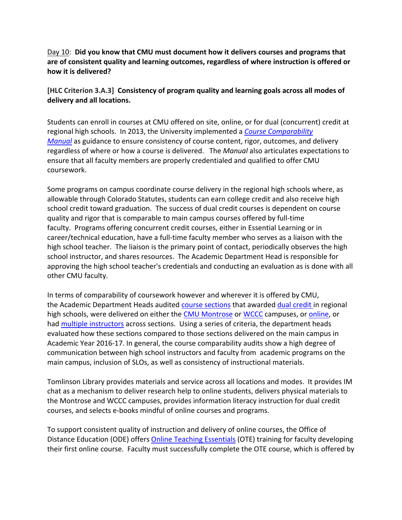## Day 10: **Did you know that CMU must document how it delivers courses and programs that are of consistent quality and learning outcomes, regardless of where instruction is offered or how it is delivered?**

## **[HLC Criterion 3.A.3] Consistency of program quality and learning goals across all modes of delivery and all locations.**

Students can enroll in courses at CMU offered on site, online, or for dual (concurrent) credit at regional high schools. In 2013, the University implemented a *Course Comparability Manual* as guidance to ensure consistency of course content, rigor, outcomes, and delivery regardless of where or how a course is delivered. The *Manual* also articulates expectations to ensure that all faculty members are properly credentialed and qualified to offer CMU coursework.

Some programs on campus coordinate course delivery in the regional high schools where, as allowable through Colorado Statutes, students can earn college credit and also receive high school credit toward graduation. The success of dual credit courses is dependent on course quality and rigor that is comparable to main campus courses offered by full‐time faculty. Programs offering concurrent credit courses, either in Essential Learning or in career/technical education, have a full‐time faculty member who serves as a liaison with the high school teacher. The liaison is the primary point of contact, periodically observes the high school instructor, and shares resources. The Academic Department Head is responsible for approving the high school teacher's credentials and conducting an evaluation as is done with all other CMU faculty.

In terms of comparability of coursework however and wherever it is offered by CMU, the Academic Department Heads audited course sections that awarded dual credit in regional high schools, were delivered on either the CMU Montrose or WCCC campuses, or online, or had multiple instructors across sections. Using a series of criteria, the department heads evaluated how these sections compared to those sections delivered on the main campus in Academic Year 2016‐17. In general, the course comparability audits show a high degree of communication between high school instructors and faculty from academic programs on the main campus, inclusion of SLOs, as well as consistency of instructional materials.

Tomlinson Library provides materials and service across all locations and modes. It provides IM chat as a mechanism to deliver research help to online students, delivers physical materials to the Montrose and WCCC campuses, provides information literacy instruction for dual credit courses, and selects e‐books mindful of online courses and programs.

To support consistent quality of instruction and delivery of online courses, the Office of Distance Education (ODE) offers Online Teaching Essentials (OTE) training for faculty developing their first online course. Faculty must successfully complete the OTE course, which is offered by